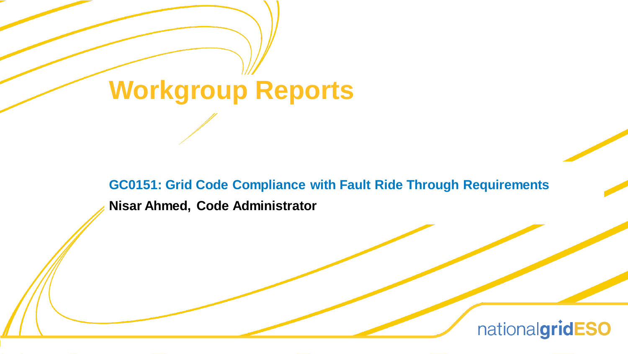# **Workgroup Reports**

**GC0151: Grid Code Compliance with Fault Ride Through Requirements**

**Nisar Ahmed, Code Administrator**

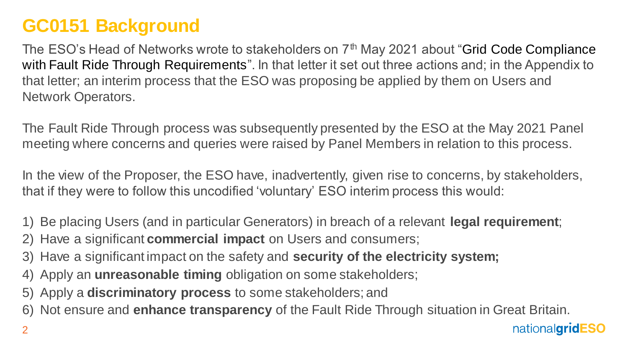#### **GC0151 Background**

The ESO's Head of Networks wrote to stakeholders on 7<sup>th</sup> May 2021 about "Grid Code Compliance with Fault Ride Through Requirements". In that letter it set out three actions and; in the Appendix to that letter; an interim process that the ESO was proposing be applied by them on Users and Network Operators.

The Fault Ride Through process was subsequently presented by the ESO at the May 2021 Panel meeting where concerns and queries were raised by Panel Members in relation to this process.

In the view of the Proposer, the ESO have, inadvertently, given rise to concerns, by stakeholders, that if they were to follow this uncodified 'voluntary' ESO interim process this would:

- 1) Be placing Users (and in particular Generators) in breach of a relevant **legal requirement**;
- 2) Have a significant **commercial impact** on Users and consumers;
- 3) Have a significant impact on the safety and **security of the electricity system;**
- 4) Apply an **unreasonable timing** obligation on some stakeholders;
- 5) Apply a **discriminatory process** to some stakeholders; and
- 6) Not ensure and **enhance transparency** of the Fault Ride Through situation in Great Britain.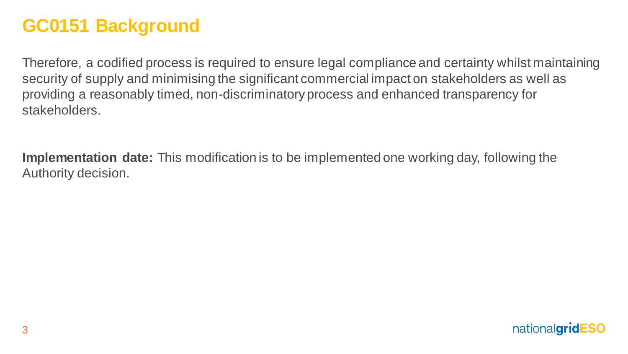#### **GC0151 Background**

Therefore, a codified process is required to ensure legal compliance and certainty whilst maintaining security of supply and minimising the significant commercial impact on stakeholders as well as providing a reasonably timed, non-discriminatory process and enhanced transparency for stakeholders.

**Implementation date:** This modification is to be implemented one working day, following the Authority decision.

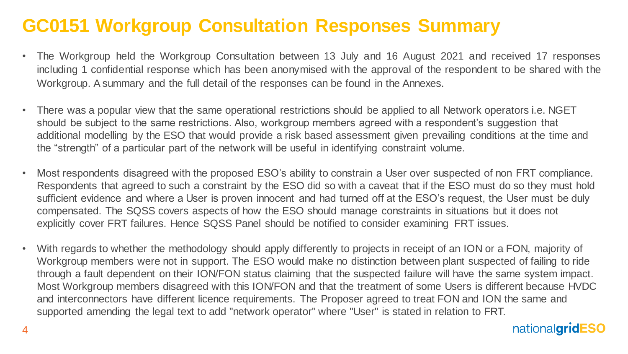#### **GC0151 Workgroup Consultation Responses Summary**

- The Workgroup held the Workgroup Consultation between 13 July and 16 August 2021 and received 17 responses including 1 confidential response which has been anonymised with the approval of the respondent to be shared with the Workgroup. A summary and the full detail of the responses can be found in the Annexes.
- There was a popular view that the same operational restrictions should be applied to all Network operators i.e. NGET should be subject to the same restrictions. Also, workgroup members agreed with a respondent's suggestion that additional modelling by the ESO that would provide a risk based assessment given prevailing conditions at the time and the "strength" of a particular part of the network will be useful in identifying constraint volume.
- Most respondents disagreed with the proposed ESO's ability to constrain a User over suspected of non FRT compliance. Respondents that agreed to such a constraint by the ESO did so with a caveat that if the ESO must do so they must hold sufficient evidence and where a User is proven innocent and had turned off at the ESO's request, the User must be duly compensated. The SQSS covers aspects of how the ESO should manage constraints in situations but it does not explicitly cover FRT failures. Hence SQSS Panel should be notified to consider examining FRT issues.
- With regards to whether the methodology should apply differently to projects in receipt of an ION or a FON, majority of Workgroup members were not in support. The ESO would make no distinction between plant suspected of failing to ride through a fault dependent on their ION/FON status claiming that the suspected failure will have the same system impact. Most Workgroup members disagreed with this ION/FON and that the treatment of some Users is different because HVDC and interconnectors have different licence requirements. The Proposer agreed to treat FON and ION the same and supported amending the legal text to add "network operator" where "User" is stated in relation to FRT.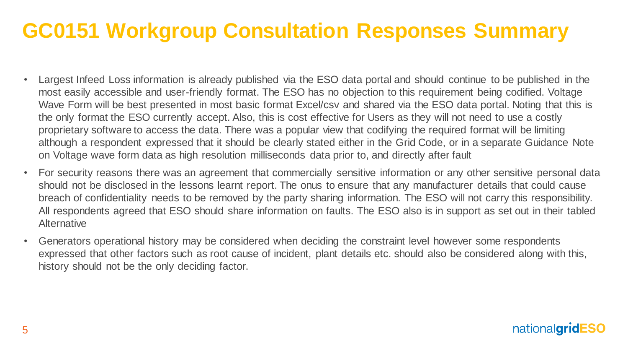## **GC0151 Workgroup Consultation Responses Summary**

- Largest Infeed Loss information is already published via the ESO data portal and should continue to be published in the most easily accessible and user-friendly format. The ESO has no objection to this requirement being codified. Voltage Wave Form will be best presented in most basic format Excel/csv and shared via the ESO data portal. Noting that this is the only format the ESO currently accept. Also, this is cost effective for Users as they will not need to use a costly proprietary software to access the data. There was a popular view that codifying the required format will be limiting although a respondent expressed that it should be clearly stated either in the Grid Code, or in a separate Guidance Note on Voltage wave form data as high resolution milliseconds data prior to, and directly after fault
- For security reasons there was an agreement that commercially sensitive information or any other sensitive personal data should not be disclosed in the lessons learnt report. The onus to ensure that any manufacturer details that could cause breach of confidentiality needs to be removed by the party sharing information. The ESO will not carry this responsibility. All respondents agreed that ESO should share information on faults. The ESO also is in support as set out in their tabled **Alternative**
- Generators operational history may be considered when deciding the constraint level however some respondents expressed that other factors such as root cause of incident, plant details etc. should also be considered along with this, history should not be the only deciding factor.

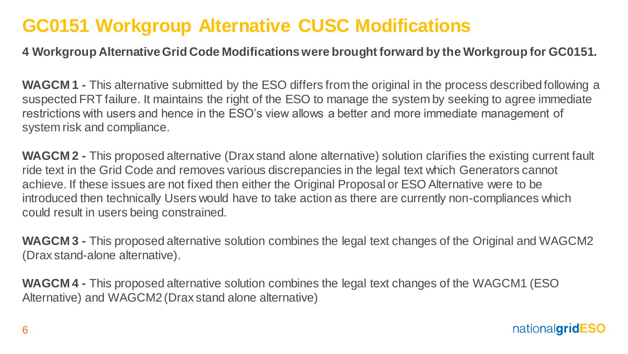#### **GC0151 Workgroup Alternative CUSC Modifications**

#### **4 Workgroup AlternativeGrid Code Modificationswere brought forward by the Workgroup for GC0151.**

**WAGCM 1 -** This alternative submitted by the ESO differs from the original in the process described following a suspected FRT failure. It maintains the right of the ESO to manage the system by seeking to agree immediate restrictions with users and hence in the ESO's view allows a better and more immediate management of system risk and compliance.

**WAGCM 2 -** This proposed alternative (Drax stand alone alternative) solution clarifies the existing current fault ride text in the Grid Code and removes various discrepancies in the legal text which Generators cannot achieve. If these issues are not fixed then either the Original Proposal or ESO Alternative were to be introduced then technically Users would have to take action as there are currently non-compliances which could result in users being constrained.

**WAGCM 3 -** This proposed alternative solution combines the legal text changes of the Original and WAGCM2 (Drax stand-alone alternative).

**WAGCM 4 -** This proposed alternative solution combines the legal text changes of the WAGCM1 (ESO Alternative) and WAGCM2 (Drax stand alone alternative)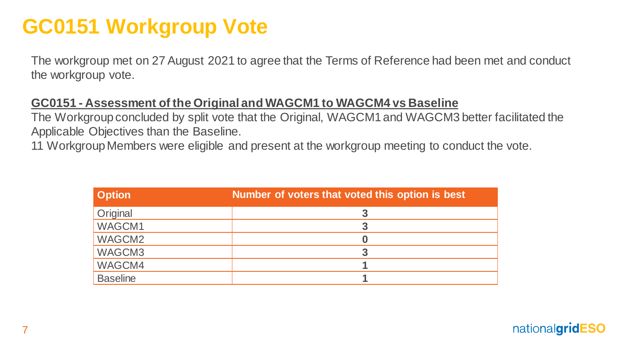## **GC0151 Workgroup Vote**

The workgroup met on 27 August 2021 to agree that the Terms of Reference had been met and conduct the workgroup vote.

#### **GC0151 - Assessment of the Original and WAGCM1 to WAGCM4 vs Baseline**

The Workgroup concluded by split vote that the Original, WAGCM1 and WAGCM3 better facilitated the Applicable Objectives than the Baseline.

11 Workgroup Members were eligible and present at the workgroup meeting to conduct the vote.

| <b>Option</b>   | Number of voters that voted this option is best |
|-----------------|-------------------------------------------------|
| Original        |                                                 |
| WAGCM1          |                                                 |
| WAGCM2          |                                                 |
| WAGCM3          | 3                                               |
| WAGCM4          |                                                 |
| <b>Baseline</b> |                                                 |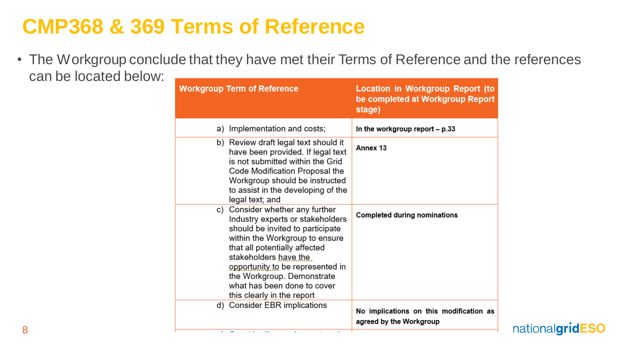## **CMP368 & 369 Terms of Reference**

• The Workgroup conclude that they have met their Terms of Reference and the references can be located below: **Example 2014** 

| <b>Workgroup Term of Reference</b> |  |                                                                                                                                                                                                                                                                                                                                    | <b>Location in Workgroup Report (to</b><br>be completed at Workgroup Report<br>stage) |  |
|------------------------------------|--|------------------------------------------------------------------------------------------------------------------------------------------------------------------------------------------------------------------------------------------------------------------------------------------------------------------------------------|---------------------------------------------------------------------------------------|--|
|                                    |  | a) Implementation and costs;                                                                                                                                                                                                                                                                                                       | In the workgroup report - p.33                                                        |  |
|                                    |  | b) Review draft legal text should it<br>have been provided. If legal text<br>is not submitted within the Grid<br>Code Modification Proposal the<br>Workgroup should be instructed<br>to assist in the developing of the<br>legal text; and                                                                                         | Annex 13                                                                              |  |
|                                    |  | c) Consider whether any further<br>Industry experts or stakeholders<br>should be invited to participate<br>within the Workgroup to ensure<br>that all potentially affected<br>stakeholders have the<br>opportunity to be represented in<br>the Workgroup. Demonstrate<br>what has been done to cover<br>this clearly in the report | <b>Completed during nominations</b>                                                   |  |
|                                    |  | d) Consider EBR implications                                                                                                                                                                                                                                                                                                       | No implications on this modification as<br>agreed by the Workgroup                    |  |
|                                    |  | $\sim$<br>×.                                                                                                                                                                                                                                                                                                                       |                                                                                       |  |

nationalgridESO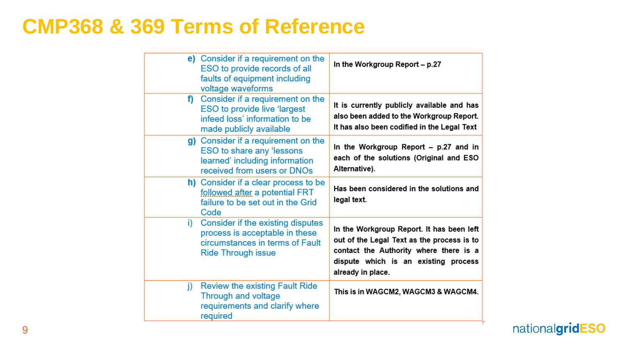### **CMP368 & 369 Terms of Reference**

| ESO to provide records of all<br>faults of equipment including<br>voltage waveforms                                                 | In the Workgroup Report - p.27                                                                                                                                                                 |
|-------------------------------------------------------------------------------------------------------------------------------------|------------------------------------------------------------------------------------------------------------------------------------------------------------------------------------------------|
| <b>ESO to provide live 'largest</b><br>infeed loss' information to be<br>made publicly available                                    | It is currently publicly available and has<br>also been added to the Workgroup Report.<br>It has also been codified in the Legal Text                                                          |
| ESO to share any 'lessons<br>learned' including information<br>received from users or DNOs                                          | In the Workgroup Report - p.27 and in<br>each of the solutions (Original and ESO<br>Alternative).                                                                                              |
| followed after a potential FRT<br>failure to be set out in the Grid<br>Code                                                         | Has been considered in the solutions and<br>legal text.                                                                                                                                        |
| Consider if the existing disputes<br>process is acceptable in these<br>circumstances in terms of Fault<br><b>Ride Through issue</b> | In the Workgroup Report. It has been left<br>out of the Legal Text as the process is to<br>contact the Authority where there is a<br>dispute which is an existing process<br>already in place. |
| <b>Review the existing Fault Ride</b><br><b>Through and voltage</b><br>requirements and clarify where<br>required                   | This is in WAGCM2, WAGCM3 & WAGCM4.                                                                                                                                                            |
|                                                                                                                                     | e) Consider if a requirement on the<br>f) Consider if a requirement on the<br>g) Consider if a requirement on the<br>h) Consider if a clear process to be<br>i)                                |

nationalgridESO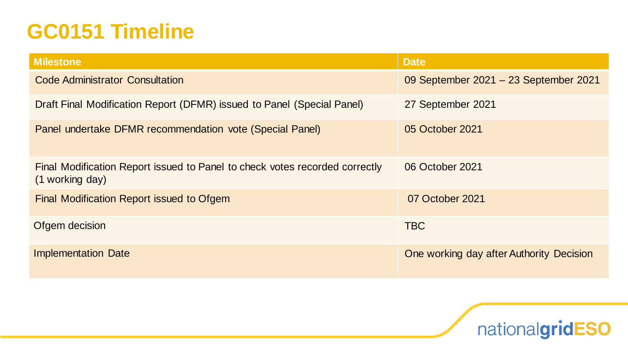## **GC0151 Timeline**

| <b>Milestone</b>                                                                               | <b>Date</b>                              |
|------------------------------------------------------------------------------------------------|------------------------------------------|
| <b>Code Administrator Consultation</b>                                                         | 09 September 2021 - 23 September 2021    |
| Draft Final Modification Report (DFMR) issued to Panel (Special Panel)                         | 27 September 2021                        |
| Panel undertake DFMR recommendation vote (Special Panel)                                       | 05 October 2021                          |
| Final Modification Report issued to Panel to check votes recorded correctly<br>(1 working day) | 06 October 2021                          |
| Final Modification Report issued to Ofgem                                                      | 07 October 2021                          |
| Ofgem decision                                                                                 | <b>TBC</b>                               |
| <b>Implementation Date</b>                                                                     | One working day after Authority Decision |